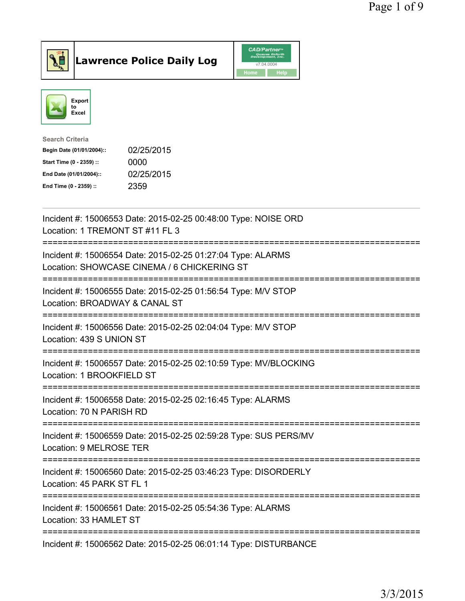



| <b>Search Criteria</b>    |            |
|---------------------------|------------|
| Begin Date (01/01/2004):: | 02/25/2015 |
| Start Time (0 - 2359) ::  | 0000       |
| End Date (01/01/2004)::   | 02/25/2015 |
| End Time (0 - 2359) ::    | 2359       |
|                           |            |

| Incident #: 15006553 Date: 2015-02-25 00:48:00 Type: NOISE ORD<br>Location: 1 TREMONT ST #11 FL 3          |
|------------------------------------------------------------------------------------------------------------|
| Incident #: 15006554 Date: 2015-02-25 01:27:04 Type: ALARMS<br>Location: SHOWCASE CINEMA / 6 CHICKERING ST |
| Incident #: 15006555 Date: 2015-02-25 01:56:54 Type: M/V STOP<br>Location: BROADWAY & CANAL ST             |
| Incident #: 15006556 Date: 2015-02-25 02:04:04 Type: M/V STOP<br>Location: 439 S UNION ST                  |
| Incident #: 15006557 Date: 2015-02-25 02:10:59 Type: MV/BLOCKING<br>Location: 1 BROOKFIELD ST              |
| Incident #: 15006558 Date: 2015-02-25 02:16:45 Type: ALARMS<br>Location: 70 N PARISH RD                    |
| Incident #: 15006559 Date: 2015-02-25 02:59:28 Type: SUS PERS/MV<br>Location: 9 MELROSE TER                |
| Incident #: 15006560 Date: 2015-02-25 03:46:23 Type: DISORDERLY<br>Location: 45 PARK ST FL 1               |
| Incident #: 15006561 Date: 2015-02-25 05:54:36 Type: ALARMS<br>Location: 33 HAMLET ST                      |
| Incident #: 15006562 Date: 2015-02-25 06:01:14 Type: DISTURBANCE                                           |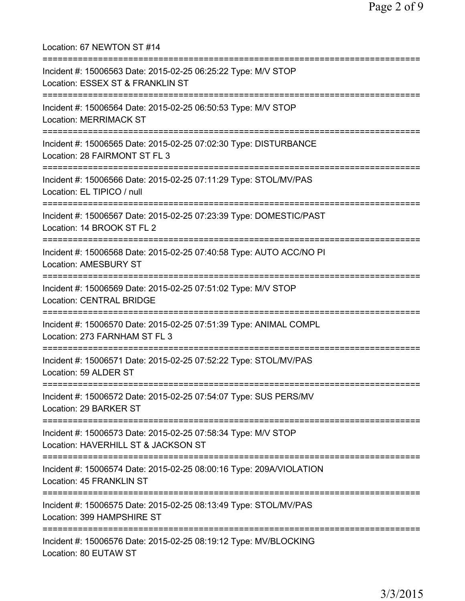Location: 67 NEWTON ST #14 =========================================================================== Incident #: 15006563 Date: 2015-02-25 06:25:22 Type: M/V STOP Location: ESSEX ST & FRANKLIN ST =========================================================================== Incident #: 15006564 Date: 2015-02-25 06:50:53 Type: M/V STOP Location: MERRIMACK ST =========================================================================== Incident #: 15006565 Date: 2015-02-25 07:02:30 Type: DISTURBANCE Location: 28 FAIRMONT ST FL 3 =========================================================================== Incident #: 15006566 Date: 2015-02-25 07:11:29 Type: STOL/MV/PAS Location: EL TIPICO / null =========================================================================== Incident #: 15006567 Date: 2015-02-25 07:23:39 Type: DOMESTIC/PAST Location: 14 BROOK ST FL 2 =========================================================================== Incident #: 15006568 Date: 2015-02-25 07:40:58 Type: AUTO ACC/NO PI Location: AMESBURY ST =========================================================================== Incident #: 15006569 Date: 2015-02-25 07:51:02 Type: M/V STOP Location: CENTRAL BRIDGE =========================================================================== Incident #: 15006570 Date: 2015-02-25 07:51:39 Type: ANIMAL COMPL Location: 273 FARNHAM ST FL 3 =========================================================================== Incident #: 15006571 Date: 2015-02-25 07:52:22 Type: STOL/MV/PAS Location: 59 ALDER ST =========================================================================== Incident #: 15006572 Date: 2015-02-25 07:54:07 Type: SUS PERS/MV Location: 29 BARKER ST =========================================================================== Incident #: 15006573 Date: 2015-02-25 07:58:34 Type: M/V STOP Location: HAVERHILL ST & JACKSON ST =========================================================================== Incident #: 15006574 Date: 2015-02-25 08:00:16 Type: 209A/VIOLATION Location: 45 FRANKLIN ST =========================================================================== Incident #: 15006575 Date: 2015-02-25 08:13:49 Type: STOL/MV/PAS Location: 399 HAMPSHIRE ST =========================================================================== Incident #: 15006576 Date: 2015-02-25 08:19:12 Type: MV/BLOCKING Location: 80 EUTAW ST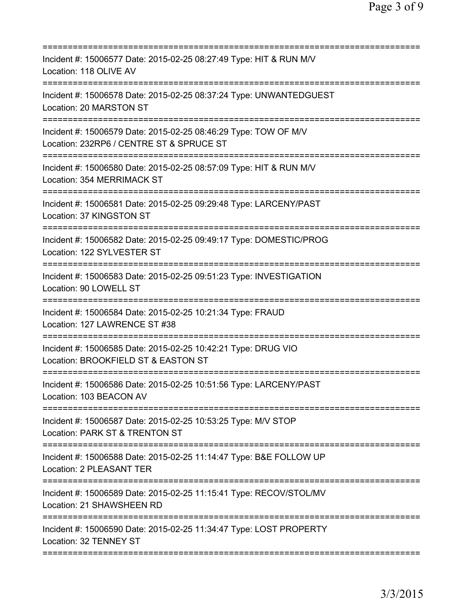| Incident #: 15006577 Date: 2015-02-25 08:27:49 Type: HIT & RUN M/V<br>Location: 118 OLIVE AV                                                                               |
|----------------------------------------------------------------------------------------------------------------------------------------------------------------------------|
| Incident #: 15006578 Date: 2015-02-25 08:37:24 Type: UNWANTEDGUEST<br>Location: 20 MARSTON ST                                                                              |
| Incident #: 15006579 Date: 2015-02-25 08:46:29 Type: TOW OF M/V<br>Location: 232RP6 / CENTRE ST & SPRUCE ST                                                                |
| Incident #: 15006580 Date: 2015-02-25 08:57:09 Type: HIT & RUN M/V<br>Location: 354 MERRIMACK ST                                                                           |
| Incident #: 15006581 Date: 2015-02-25 09:29:48 Type: LARCENY/PAST<br>Location: 37 KINGSTON ST                                                                              |
| Incident #: 15006582 Date: 2015-02-25 09:49:17 Type: DOMESTIC/PROG<br>Location: 122 SYLVESTER ST                                                                           |
| ======================================<br>Incident #: 15006583 Date: 2015-02-25 09:51:23 Type: INVESTIGATION<br>Location: 90 LOWELL ST<br>================================ |
| Incident #: 15006584 Date: 2015-02-25 10:21:34 Type: FRAUD<br>Location: 127 LAWRENCE ST #38                                                                                |
| Incident #: 15006585 Date: 2015-02-25 10:42:21 Type: DRUG VIO<br>Location: BROOKFIELD ST & EASTON ST                                                                       |
| Incident #: 15006586 Date: 2015-02-25 10:51:56 Type: LARCENY/PAST<br>Location: 103 BEACON AV                                                                               |
| Incident #: 15006587 Date: 2015-02-25 10:53:25 Type: M/V STOP<br>Location: PARK ST & TRENTON ST                                                                            |
| Incident #: 15006588 Date: 2015-02-25 11:14:47 Type: B&E FOLLOW UP<br>Location: 2 PLEASANT TER                                                                             |
| Incident #: 15006589 Date: 2015-02-25 11:15:41 Type: RECOV/STOL/MV<br>Location: 21 SHAWSHEEN RD                                                                            |
| Incident #: 15006590 Date: 2015-02-25 11:34:47 Type: LOST PROPERTY<br>Location: 32 TENNEY ST                                                                               |
|                                                                                                                                                                            |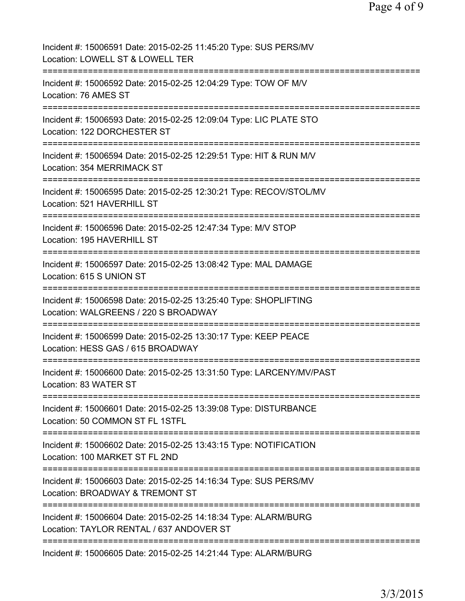| Incident #: 15006591 Date: 2015-02-25 11:45:20 Type: SUS PERS/MV<br>Location: LOWELL ST & LOWELL TER        |
|-------------------------------------------------------------------------------------------------------------|
| Incident #: 15006592 Date: 2015-02-25 12:04:29 Type: TOW OF M/V<br>Location: 76 AMES ST                     |
| Incident #: 15006593 Date: 2015-02-25 12:09:04 Type: LIC PLATE STO<br>Location: 122 DORCHESTER ST           |
| Incident #: 15006594 Date: 2015-02-25 12:29:51 Type: HIT & RUN M/V<br>Location: 354 MERRIMACK ST            |
| Incident #: 15006595 Date: 2015-02-25 12:30:21 Type: RECOV/STOL/MV<br>Location: 521 HAVERHILL ST            |
| Incident #: 15006596 Date: 2015-02-25 12:47:34 Type: M/V STOP<br>Location: 195 HAVERHILL ST                 |
| Incident #: 15006597 Date: 2015-02-25 13:08:42 Type: MAL DAMAGE<br>Location: 615 S UNION ST                 |
| Incident #: 15006598 Date: 2015-02-25 13:25:40 Type: SHOPLIFTING<br>Location: WALGREENS / 220 S BROADWAY    |
| Incident #: 15006599 Date: 2015-02-25 13:30:17 Type: KEEP PEACE<br>Location: HESS GAS / 615 BROADWAY        |
| Incident #: 15006600 Date: 2015-02-25 13:31:50 Type: LARCENY/MV/PAST<br>Location: 83 WATER ST               |
| Incident #: 15006601 Date: 2015-02-25 13:39:08 Type: DISTURBANCE<br>Location: 50 COMMON ST FL 1STFL         |
| Incident #: 15006602 Date: 2015-02-25 13:43:15 Type: NOTIFICATION<br>Location: 100 MARKET ST FL 2ND         |
| Incident #: 15006603 Date: 2015-02-25 14:16:34 Type: SUS PERS/MV<br>Location: BROADWAY & TREMONT ST         |
| Incident #: 15006604 Date: 2015-02-25 14:18:34 Type: ALARM/BURG<br>Location: TAYLOR RENTAL / 637 ANDOVER ST |
| Incident #: 15006605 Date: 2015-02-25 14:21:44 Type: ALARM/BURG                                             |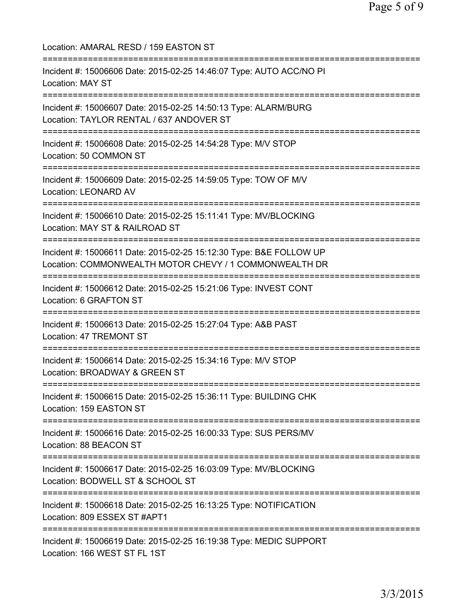| Location: AMARAL RESD / 159 EASTON ST                                                                                             |
|-----------------------------------------------------------------------------------------------------------------------------------|
| Incident #: 15006606 Date: 2015-02-25 14:46:07 Type: AUTO ACC/NO PI<br><b>Location: MAY ST</b>                                    |
| Incident #: 15006607 Date: 2015-02-25 14:50:13 Type: ALARM/BURG<br>Location: TAYLOR RENTAL / 637 ANDOVER ST                       |
| Incident #: 15006608 Date: 2015-02-25 14:54:28 Type: M/V STOP<br>Location: 50 COMMON ST                                           |
| Incident #: 15006609 Date: 2015-02-25 14:59:05 Type: TOW OF M/V<br><b>Location: LEONARD AV</b>                                    |
| Incident #: 15006610 Date: 2015-02-25 15:11:41 Type: MV/BLOCKING<br>Location: MAY ST & RAILROAD ST                                |
| Incident #: 15006611 Date: 2015-02-25 15:12:30 Type: B&E FOLLOW UP<br>Location: COMMONWEALTH MOTOR CHEVY / 1 COMMONWEALTH DR      |
| Incident #: 15006612 Date: 2015-02-25 15:21:06 Type: INVEST CONT<br>Location: 6 GRAFTON ST<br>:================================== |
| Incident #: 15006613 Date: 2015-02-25 15:27:04 Type: A&B PAST<br>Location: 47 TREMONT ST                                          |
| Incident #: 15006614 Date: 2015-02-25 15:34:16 Type: M/V STOP<br>Location: BROADWAY & GREEN ST                                    |
| :=======================<br>Incident #: 15006615 Date: 2015-02-25 15:36:11 Type: BUILDING CHK<br>Location: 159 EASTON ST          |
| Incident #: 15006616 Date: 2015-02-25 16:00:33 Type: SUS PERS/MV<br>Location: 88 BEACON ST                                        |
| Incident #: 15006617 Date: 2015-02-25 16:03:09 Type: MV/BLOCKING<br>Location: BODWELL ST & SCHOOL ST                              |
| Incident #: 15006618 Date: 2015-02-25 16:13:25 Type: NOTIFICATION<br>Location: 809 ESSEX ST #APT1                                 |
| Incident #: 15006619 Date: 2015-02-25 16:19:38 Type: MEDIC SUPPORT<br>Location: 166 WEST ST FL 1ST                                |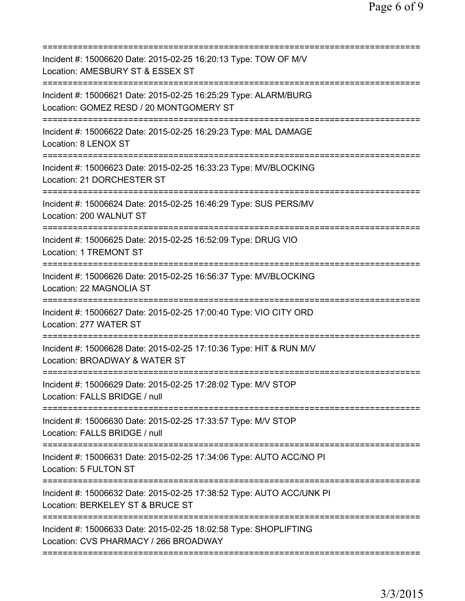| Incident #: 15006620 Date: 2015-02-25 16:20:13 Type: TOW OF M/V<br>Location: AMESBURY ST & ESSEX ST                                            |
|------------------------------------------------------------------------------------------------------------------------------------------------|
| ============================<br>Incident #: 15006621 Date: 2015-02-25 16:25:29 Type: ALARM/BURG<br>Location: GOMEZ RESD / 20 MONTGOMERY ST     |
| Incident #: 15006622 Date: 2015-02-25 16:29:23 Type: MAL DAMAGE<br>Location: 8 LENOX ST                                                        |
| Incident #: 15006623 Date: 2015-02-25 16:33:23 Type: MV/BLOCKING<br>Location: 21 DORCHESTER ST<br>=======================<br>:================ |
| Incident #: 15006624 Date: 2015-02-25 16:46:29 Type: SUS PERS/MV<br>Location: 200 WALNUT ST                                                    |
| Incident #: 15006625 Date: 2015-02-25 16:52:09 Type: DRUG VIO<br>Location: 1 TREMONT ST                                                        |
| Incident #: 15006626 Date: 2015-02-25 16:56:37 Type: MV/BLOCKING<br>Location: 22 MAGNOLIA ST                                                   |
| Incident #: 15006627 Date: 2015-02-25 17:00:40 Type: VIO CITY ORD<br>Location: 277 WATER ST                                                    |
| Incident #: 15006628 Date: 2015-02-25 17:10:36 Type: HIT & RUN M/V<br>Location: BROADWAY & WATER ST                                            |
| Incident #: 15006629 Date: 2015-02-25 17:28:02 Type: M/V STOP<br>Location: FALLS BRIDGE / null                                                 |
| ====================================<br>Incident #: 15006630 Date: 2015-02-25 17:33:57 Type: M/V STOP<br>Location: FALLS BRIDGE / null         |
| Incident #: 15006631 Date: 2015-02-25 17:34:06 Type: AUTO ACC/NO PI<br>Location: 5 FULTON ST                                                   |
| Incident #: 15006632 Date: 2015-02-25 17:38:52 Type: AUTO ACC/UNK PI<br>Location: BERKELEY ST & BRUCE ST                                       |
| Incident #: 15006633 Date: 2015-02-25 18:02:58 Type: SHOPLIFTING<br>Location: CVS PHARMACY / 266 BROADWAY                                      |
|                                                                                                                                                |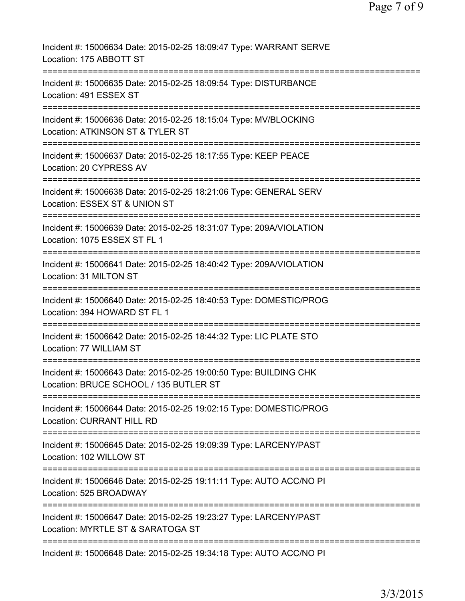| Incident #: 15006634 Date: 2015-02-25 18:09:47 Type: WARRANT SERVE<br>Location: 175 ABBOTT ST                                    |
|----------------------------------------------------------------------------------------------------------------------------------|
| Incident #: 15006635 Date: 2015-02-25 18:09:54 Type: DISTURBANCE<br>Location: 491 ESSEX ST                                       |
| Incident #: 15006636 Date: 2015-02-25 18:15:04 Type: MV/BLOCKING<br>Location: ATKINSON ST & TYLER ST                             |
| Incident #: 15006637 Date: 2015-02-25 18:17:55 Type: KEEP PEACE<br>Location: 20 CYPRESS AV                                       |
| Incident #: 15006638 Date: 2015-02-25 18:21:06 Type: GENERAL SERV<br>Location: ESSEX ST & UNION ST                               |
| Incident #: 15006639 Date: 2015-02-25 18:31:07 Type: 209A/VIOLATION<br>Location: 1075 ESSEX ST FL 1                              |
| Incident #: 15006641 Date: 2015-02-25 18:40:42 Type: 209A/VIOLATION<br>Location: 31 MILTON ST                                    |
| Incident #: 15006640 Date: 2015-02-25 18:40:53 Type: DOMESTIC/PROG<br>Location: 394 HOWARD ST FL 1                               |
| Incident #: 15006642 Date: 2015-02-25 18:44:32 Type: LIC PLATE STO<br>Location: 77 WILLIAM ST                                    |
| Incident #: 15006643 Date: 2015-02-25 19:00:50 Type: BUILDING CHK<br>Location: BRUCE SCHOOL / 135 BUTLER ST                      |
| Incident #: 15006644 Date: 2015-02-25 19:02:15 Type: DOMESTIC/PROG<br><b>Location: CURRANT HILL RD</b>                           |
| ================================<br>Incident #: 15006645 Date: 2015-02-25 19:09:39 Type: LARCENY/PAST<br>Location: 102 WILLOW ST |
| Incident #: 15006646 Date: 2015-02-25 19:11:11 Type: AUTO ACC/NO PI<br>Location: 525 BROADWAY                                    |
| Incident #: 15006647 Date: 2015-02-25 19:23:27 Type: LARCENY/PAST<br>Location: MYRTLE ST & SARATOGA ST                           |
| Incident #: 15006648 Date: 2015-02-25 19:34:18 Type: AUTO ACC/NO PI                                                              |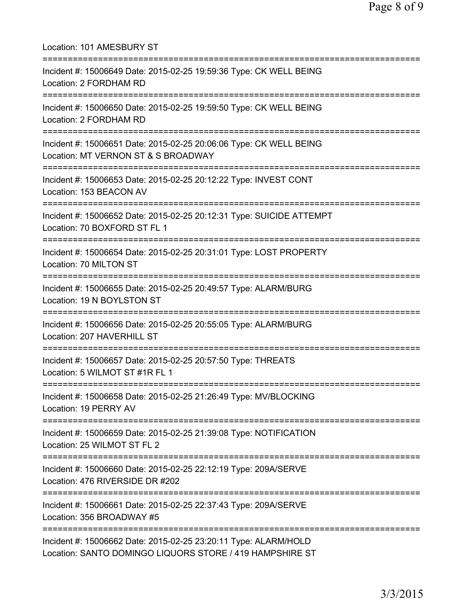| Location: 101 AMESBURY ST                                                                                                                        |
|--------------------------------------------------------------------------------------------------------------------------------------------------|
| Incident #: 15006649 Date: 2015-02-25 19:59:36 Type: CK WELL BEING<br>Location: 2 FORDHAM RD<br>===============================                  |
| Incident #: 15006650 Date: 2015-02-25 19:59:50 Type: CK WELL BEING<br>Location: 2 FORDHAM RD<br>:==============================                  |
| Incident #: 15006651 Date: 2015-02-25 20:06:06 Type: CK WELL BEING<br>Location: MT VERNON ST & S BROADWAY<br>;================================== |
| Incident #: 15006653 Date: 2015-02-25 20:12:22 Type: INVEST CONT<br>Location: 153 BEACON AV                                                      |
| Incident #: 15006652 Date: 2015-02-25 20:12:31 Type: SUICIDE ATTEMPT<br>Location: 70 BOXFORD ST FL 1                                             |
| Incident #: 15006654 Date: 2015-02-25 20:31:01 Type: LOST PROPERTY<br>Location: 70 MILTON ST                                                     |
| Incident #: 15006655 Date: 2015-02-25 20:49:57 Type: ALARM/BURG<br>Location: 19 N BOYLSTON ST                                                    |
| Incident #: 15006656 Date: 2015-02-25 20:55:05 Type: ALARM/BURG<br>Location: 207 HAVERHILL ST                                                    |
| Incident #: 15006657 Date: 2015-02-25 20:57:50 Type: THREATS<br>Location: 5 WILMOT ST #1R FL 1                                                   |
| Incident #: 15006658 Date: 2015-02-25 21:26:49 Type: MV/BLOCKING<br>Location: 19 PERRY AV                                                        |
| Incident #: 15006659 Date: 2015-02-25 21:39:08 Type: NOTIFICATION<br>Location: 25 WILMOT ST FL 2                                                 |
| Incident #: 15006660 Date: 2015-02-25 22:12:19 Type: 209A/SERVE<br>Location: 476 RIVERSIDE DR #202                                               |
| Incident #: 15006661 Date: 2015-02-25 22:37:43 Type: 209A/SERVE<br>Location: 356 BROADWAY #5                                                     |
| Incident #: 15006662 Date: 2015-02-25 23:20:11 Type: ALARM/HOLD<br>Location: SANTO DOMINGO LIQUORS STORE / 419 HAMPSHIRE ST                      |